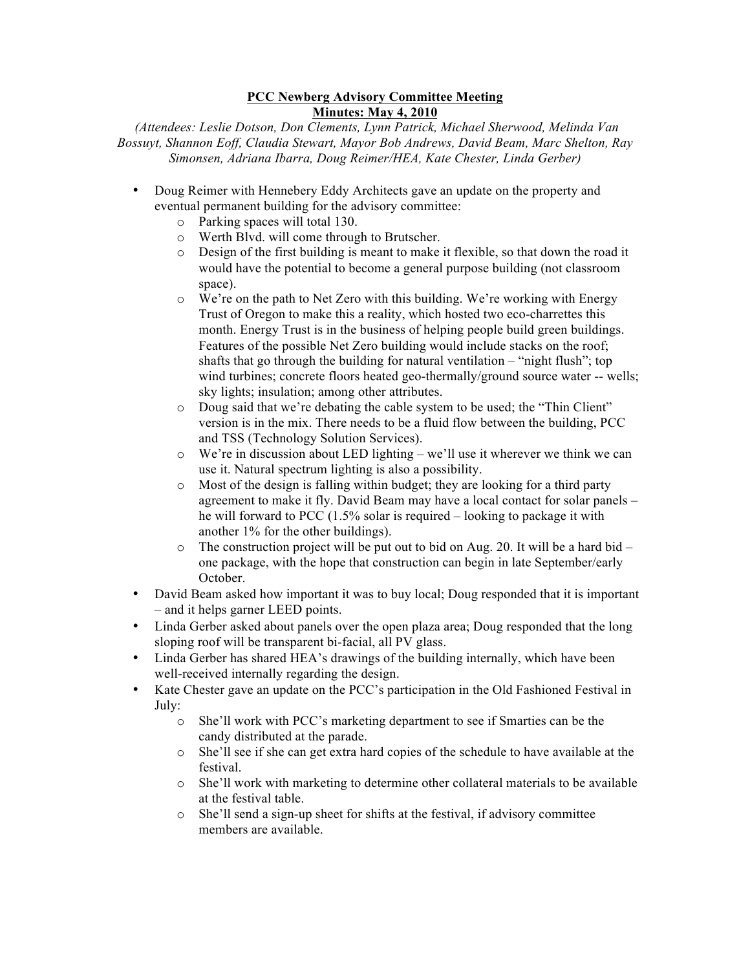## **PCC Newberg Advisory Committee Meeting Minutes: May 4, 2010**

*(Attendees: Leslie Dotson, Don Clements, Lynn Patrick, Michael Sherwood, Melinda Van Bossuyt, Shannon Eoff, Claudia Stewart, Mayor Bob Andrews, David Beam, Marc Shelton, Ray Simonsen, Adriana Ibarra, Doug Reimer/HEA, Kate Chester, Linda Gerber)*

- Doug Reimer with Hennebery Eddy Architects gave an update on the property and eventual permanent building for the advisory committee:
	- o Parking spaces will total 130.
	- $\circ$  Werth Blvd. will come through to Brutscher.<br> $\circ$  Design of the first building is meant to make
	- Design of the first building is meant to make it flexible, so that down the road it would have the potential to become a general purpose building (not classroom space).
	- $\circ$  We're on the path to Net Zero with this building. We're working with Energy Trust of Oregon to make this a reality, which hosted two eco-charrettes this month. Energy Trust is in the business of helping people build green buildings. Features of the possible Net Zero building would include stacks on the roof; shafts that go through the building for natural ventilation – "night flush"; top wind turbines; concrete floors heated geo-thermally/ground source water -- wells; sky lights; insulation; among other attributes.
	- o Doug said that we're debating the cable system to be used; the "Thin Client" version is in the mix. There needs to be a fluid flow between the building, PCC and TSS (Technology Solution Services).
	- o We're in discussion about LED lighting we'll use it wherever we think we can use it. Natural spectrum lighting is also a possibility.
	- o Most of the design is falling within budget; they are looking for a third party agreement to make it fly. David Beam may have a local contact for solar panels – he will forward to PCC (1.5% solar is required – looking to package it with another 1% for the other buildings).
	- $\circ$  The construction project will be put out to bid on Aug. 20. It will be a hard bid one package, with the hope that construction can begin in late September/early October.
- David Beam asked how important it was to buy local; Doug responded that it is important – and it helps garner LEED points.
- Linda Gerber asked about panels over the open plaza area; Doug responded that the long sloping roof will be transparent bi-facial, all PV glass.
- Linda Gerber has shared HEA's drawings of the building internally, which have been well-received internally regarding the design.
- Kate Chester gave an update on the PCC's participation in the Old Fashioned Festival in July:
	- o She'll work with PCC's marketing department to see if Smarties can be the candy distributed at the parade.
	- o She'll see if she can get extra hard copies of the schedule to have available at the festival.
	- o She'll work with marketing to determine other collateral materials to be available at the festival table.
	- o She'll send a sign-up sheet for shifts at the festival, if advisory committee members are available.